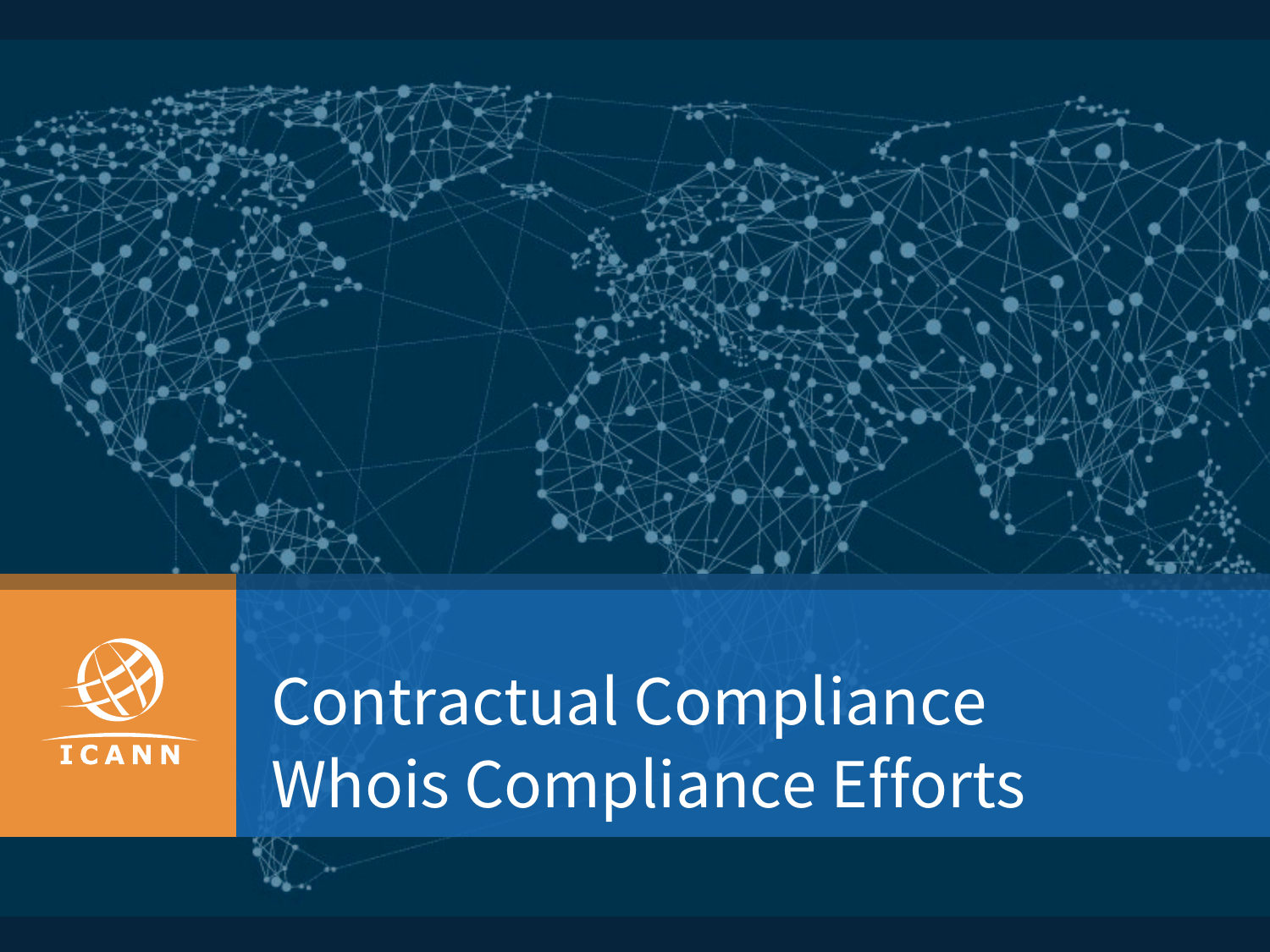



# Contractual Compliance Whois Compliance Efforts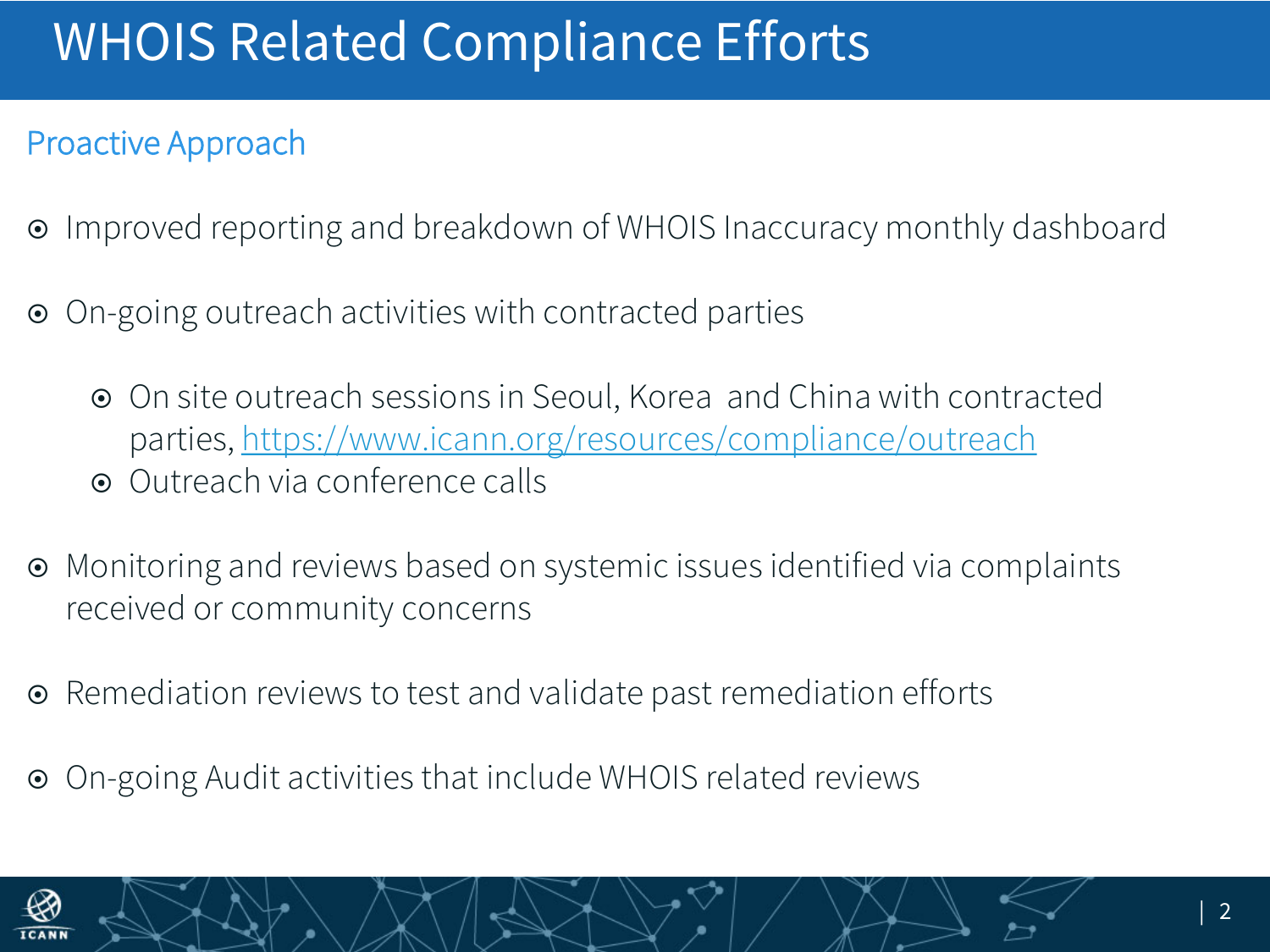## WHOIS Related Compliance Efforts

#### Proactive Approach

- ¤ Improved reporting and breakdown of WHOIS Inaccuracy monthly dashboard
- **■** On-going outreach activities with contracted parties
	- ¤ On site outreach sessions in Seoul, Korea and China with contracted parties, https://www.icann.org/resources/compliance/outreach
	- Outreach via conference calls
- **■** Monitoring and reviews based on systemic issues identified via complaints received or community concerns
- Remediation reviews to test and validate past remediation efforts
- ¤ On-going Audit activities that include WHOIS related reviews

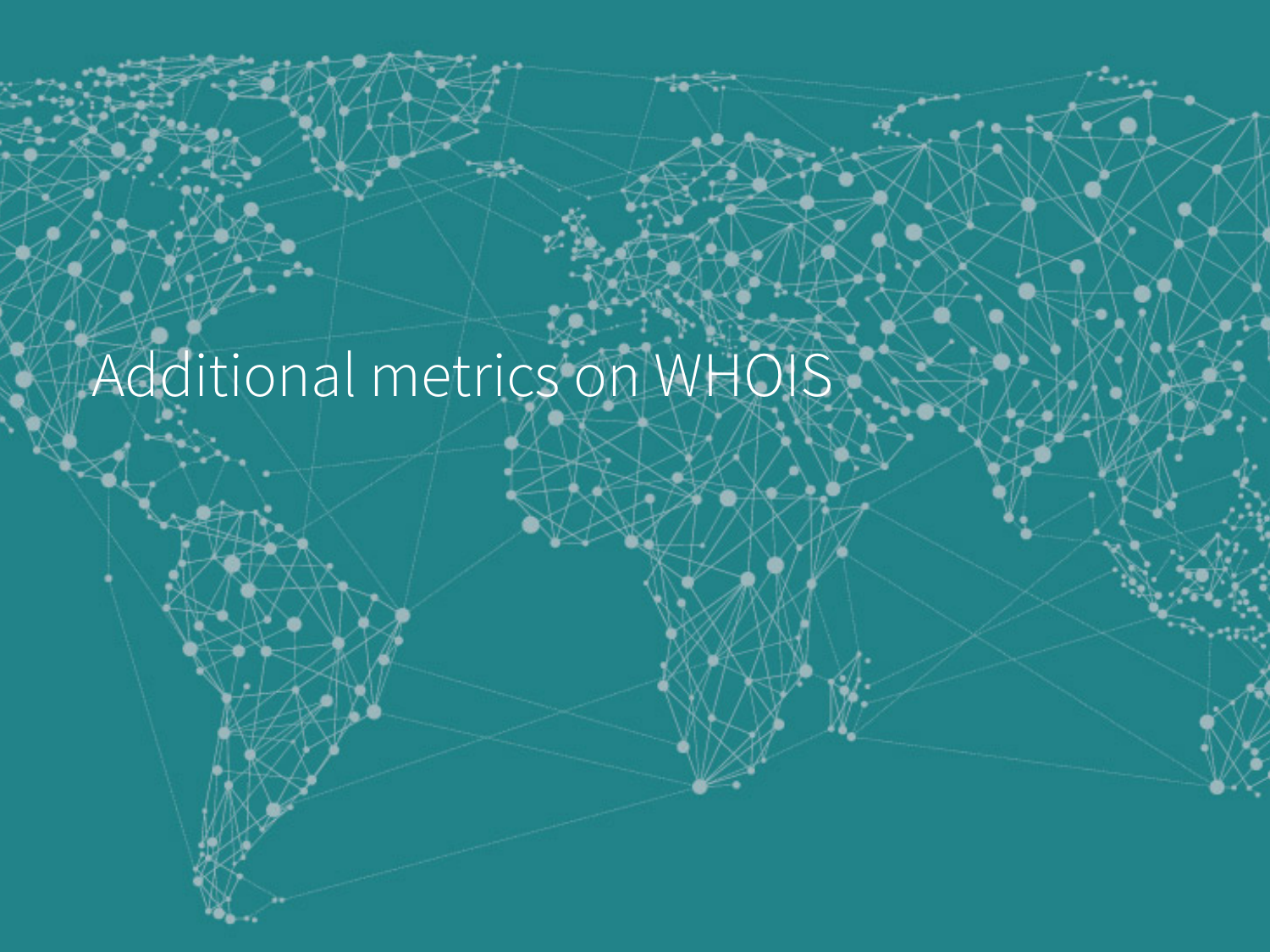# Additional metrics on WHOIS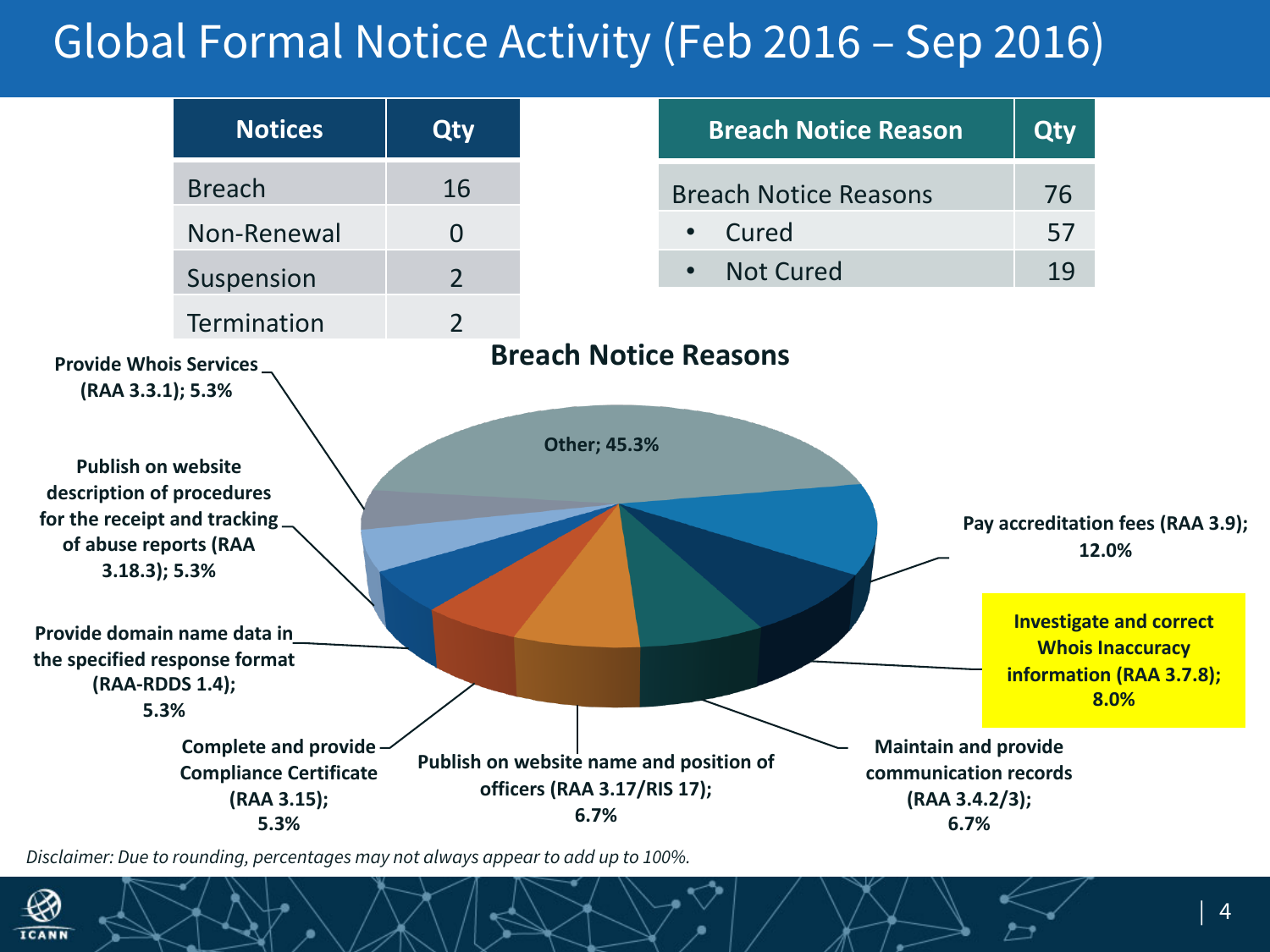### Global Formal Notice Activity (Feb 2016 – Sep 2016)

|                                                                                                                                                                                                    | <b>Notices</b>                                                                        | <b>Qty</b>     |                                                                                | <b>Breach Notice Reason</b>   | Qty                                                                                                     |
|----------------------------------------------------------------------------------------------------------------------------------------------------------------------------------------------------|---------------------------------------------------------------------------------------|----------------|--------------------------------------------------------------------------------|-------------------------------|---------------------------------------------------------------------------------------------------------|
|                                                                                                                                                                                                    | <b>Breach</b>                                                                         | 16             |                                                                                | <b>Breach Notice Reasons</b>  | 76                                                                                                      |
|                                                                                                                                                                                                    | Non-Renewal                                                                           | $\overline{0}$ |                                                                                | Cured<br>$\bullet$            | 57                                                                                                      |
|                                                                                                                                                                                                    | Suspension                                                                            | $\overline{2}$ |                                                                                | <b>Not Cured</b><br>$\bullet$ | 19                                                                                                      |
|                                                                                                                                                                                                    | <b>Termination</b>                                                                    | $\overline{2}$ |                                                                                |                               |                                                                                                         |
| <b>Publish on website</b><br>description of procedures<br>for the receipt and tracking<br>of abuse reports (RAA<br>$3.18.3$ ; 5.3%<br>Provide domain name data in<br>the specified response format |                                                                                       |                | <b>Other; 45.3%</b>                                                            |                               | Pay accreditation fees (RAA 3.9);<br>12.0%<br><b>Investigate and correct</b><br><b>Whois Inaccuracy</b> |
| (RAA-RDDS 1.4);<br>5.3%                                                                                                                                                                            |                                                                                       |                |                                                                                |                               | information (RAA 3.7.8);                                                                                |
|                                                                                                                                                                                                    | <b>Complete and provide -</b><br><b>Compliance Certificate</b><br>(RAA 3.15);<br>5.3% |                | Publish on website name and position of<br>officers (RAA 3.17/RIS 17);<br>6.7% |                               | <b>Maintain and provide</b><br>communication records<br>(RAA 3.4.2/3);<br>6.7%                          |

*Disclaimer: Due to rounding, percentages may not always appear to add up to 100%.*

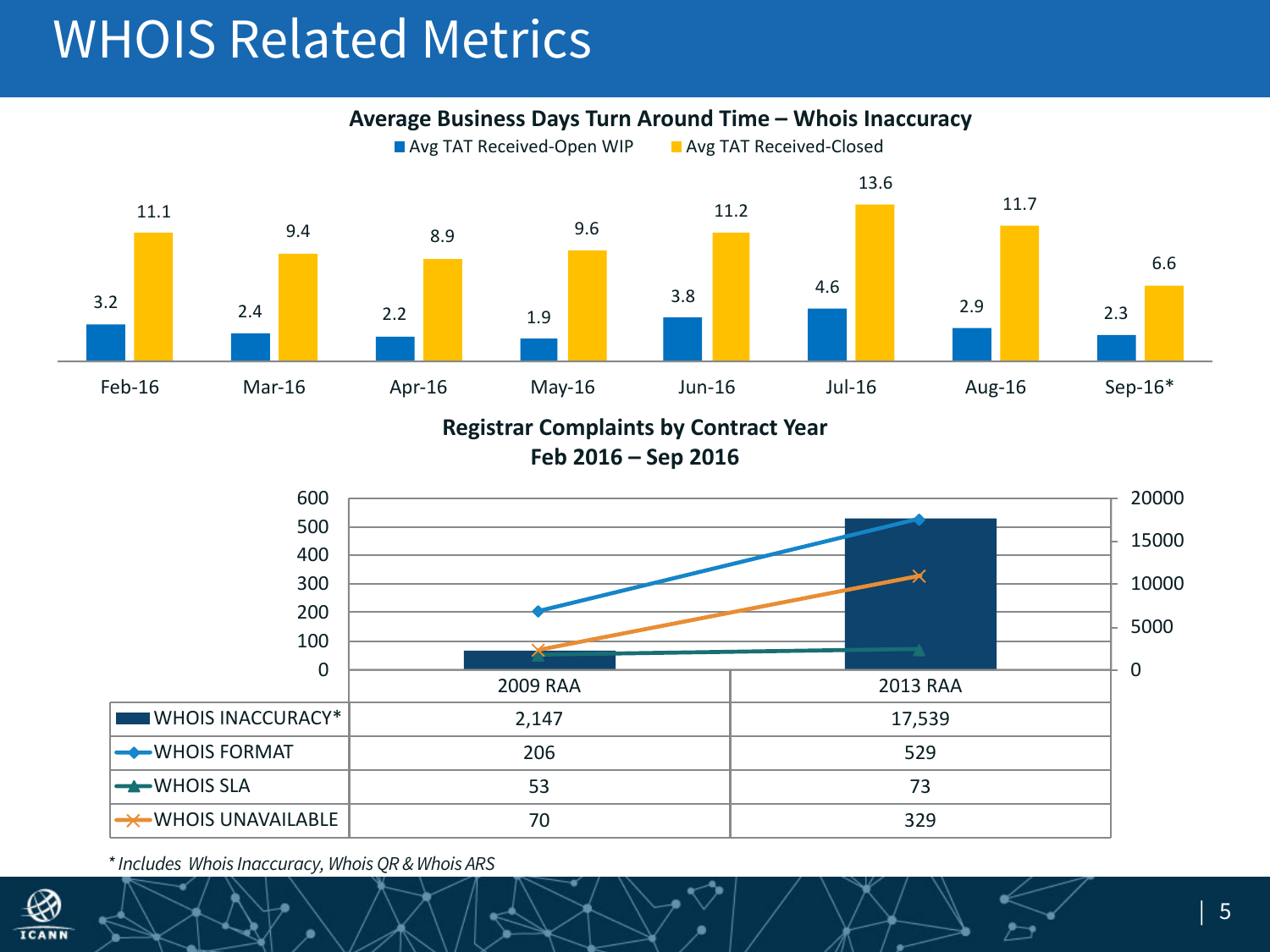### WHOIS Related Metrics

Average Business Days Turn Around Time – Whois Inaccuracy



**Registrar Complaints by Contract Year** 

**Feb 2016 – Sep 2016**



*\* Includes Whois Inaccuracy, Whois QR & Whois ARS*